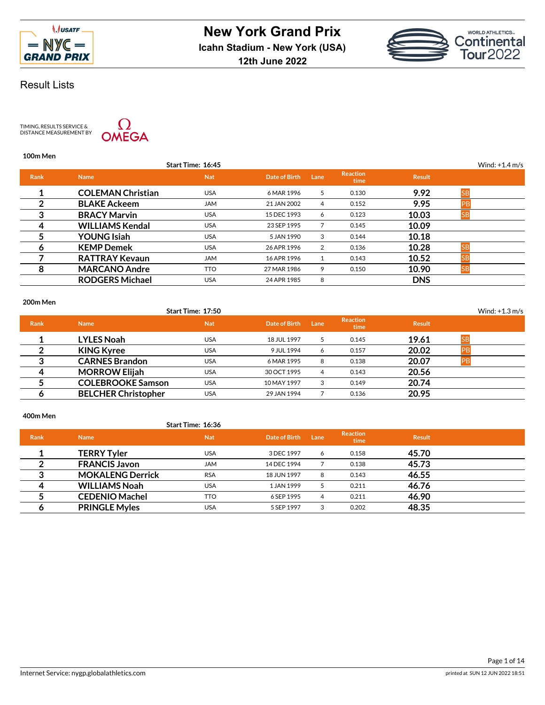



**12th June 2022**

# Result Lists

TIMING, RESULTS SERVICE &<br>DISTANCE MEASUREMENT BY



## **100m Men**

|             |                          | Start Time: 16:45 |               |      |                         |               | Wind: $+1.4$ m/s |
|-------------|--------------------------|-------------------|---------------|------|-------------------------|---------------|------------------|
| <b>Rank</b> | <b>Name</b>              | <b>Nat</b>        | Date of Birth | Lane | <b>Reaction</b><br>time | <b>Result</b> |                  |
|             | <b>COLEMAN Christian</b> | <b>USA</b>        | 6 MAR 1996    | 5    | 0.130                   | 9.92          | <b>SB</b>        |
| 2           | <b>BLAKE Ackeem</b>      | <b>JAM</b>        | 21 JAN 2002   | 4    | 0.152                   | 9.95          | P <sub>B</sub>   |
| 3           | <b>BRACY Marvin</b>      | <b>USA</b>        | 15 DEC 1993   | 6    | 0.123                   | 10.03         |                  |
| 4           | <b>WILLIAMS Kendal</b>   | <b>USA</b>        | 23 SEP 1995   |      | 0.145                   | 10.09         |                  |
| 5           | <b>YOUNG Isiah</b>       | <b>USA</b>        | 5 JAN 1990    | 3    | 0.144                   | 10.18         |                  |
| 6           | <b>KEMP Demek</b>        | <b>USA</b>        | 26 APR 1996   | 2    | 0.136                   | 10.28         | SB               |
|             | <b>RATTRAY Kevaun</b>    | <b>JAM</b>        | 16 APR 1996   | 1    | 0.143                   | 10.52         |                  |
| 8           | <b>MARCANO Andre</b>     | TTO               | 27 MAR 1986   | 9    | 0.150                   | 10.90         | <b>SB</b>        |
|             | <b>RODGERS Michael</b>   | <b>USA</b>        | 24 APR 1985   | 8    |                         | <b>DNS</b>    |                  |
|             |                          |                   |               |      |                         |               |                  |

### **200m Men**

|             |                            | Start Time: 17:50 |               |      |                         |               |    | Wind: $+1.3$ m/s |
|-------------|----------------------------|-------------------|---------------|------|-------------------------|---------------|----|------------------|
| <b>Rank</b> | <b>Name</b>                | <b>Nat</b>        | Date of Birth | Lane | <b>Reaction</b><br>time | <b>Result</b> |    |                  |
|             | <b>LYLES Noah</b>          | <b>USA</b>        | 18 JUL 1997   | -5   | 0.145                   | 19.61         | SB |                  |
|             | <b>KING Kyree</b>          | <b>USA</b>        | 9 JUL 1994    | 6    | 0.157                   | 20.02         |    |                  |
|             | <b>CARNES Brandon</b>      | <b>USA</b>        | 6 MAR 1995    | 8    | 0.138                   | 20.07         |    |                  |
| Δ           | <b>MORROW Elijah</b>       | <b>USA</b>        | 30 OCT 1995   | 4    | 0.143                   | 20.56         |    |                  |
|             | <b>COLEBROOKE Samson</b>   | <b>USA</b>        | 10 MAY 1997   | 3    | 0.149                   | 20.74         |    |                  |
|             | <b>BELCHER Christopher</b> | <b>USA</b>        | 29 JAN 1994   |      | 0.136                   | 20.95         |    |                  |

### **400m Men**

## **Start Time: 16:36**

| <b>Rank</b> | <b>Name</b>             | <b>Nat</b> | Date of Birth | Lane | <b>Reaction</b><br>time | <b>Result</b> |  |
|-------------|-------------------------|------------|---------------|------|-------------------------|---------------|--|
|             | <b>TERRY Tyler</b>      | USA        | 3 DEC 1997    | 6    | 0.158                   | 45.70         |  |
|             | <b>FRANCIS Javon</b>    | <b>JAM</b> | 14 DEC 1994   |      | 0.138                   | 45.73         |  |
| ິ           | <b>MOKALENG Derrick</b> | <b>RSA</b> | 18 JUN 1997   | 8    | 0.143                   | 46.55         |  |
| Δ           | <b>WILLIAMS Noah</b>    | <b>USA</b> | 1 JAN 1999    |      | 0.211                   | 46.76         |  |
|             | <b>CEDENIO Machel</b>   | <b>TTO</b> | 6 SEP 1995    | 4    | 0.211                   | 46.90         |  |
| О           | <b>PRINGLE Myles</b>    | USA        | 5 SEP 1997    |      | 0.202                   | 48.35         |  |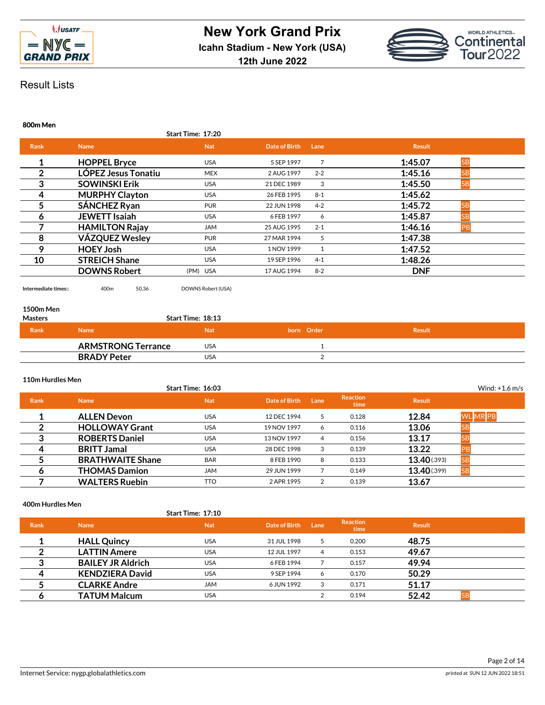



**800m Men**

|             |                            | Start Time: 17:20 |               |         |                      |  |
|-------------|----------------------------|-------------------|---------------|---------|----------------------|--|
| <b>Rank</b> | <b>Name</b>                | <b>Nat</b>        | Date of Birth | Lane    | <b>Result</b>        |  |
| 1           | <b>HOPPEL Bryce</b>        | <b>USA</b>        | 5 SEP 1997    | 7       | 1:45.07<br><b>SB</b> |  |
| 2           | <b>LÓPEZ Jesus Tonatiu</b> | <b>MEX</b>        | 2 AUG 1997    | $2 - 2$ | 1:45.16<br><b>SB</b> |  |
| 3           | <b>SOWINSKI Erik</b>       | <b>USA</b>        | 21 DEC 1989   | 3       | 1:45.50<br><b>SB</b> |  |
| 4           | <b>MURPHY Clayton</b>      | <b>USA</b>        | 26 FEB 1995   | $8 - 1$ | 1:45.62              |  |
| 5           | SÁNCHEZ Ryan               | <b>PUR</b>        | 22 JUN 1998   | $4 - 2$ | 1:45.72<br><b>SB</b> |  |
| 6           | <b>JEWETT Isajah</b>       | <b>USA</b>        | 6 FEB 1997    | 6       | 1:45.87<br>SΒ        |  |
|             | <b>HAMILTON Rajay</b>      | <b>JAM</b>        | 25 AUG 1995   | $2 - 1$ | 1:46.16<br>PB        |  |
| 8           | <b>VÁZQUEZ Wesley</b>      | <b>PUR</b>        | 27 MAR 1994   | 5       | 1:47.38              |  |
| 9           | <b>HOEY Josh</b>           | <b>USA</b>        | 1 NOV 1999    |         | 1:47.52              |  |
| 10          | <b>STREICH Shane</b>       | <b>USA</b>        | 19 SEP 1996   | $4 - 1$ | 1:48.26              |  |
|             | <b>DOWNS Robert</b>        | (PM) USA          | 17 AUG 1994   | $8 - 2$ | <b>DNF</b>           |  |
|             |                            |                   |               |         |                      |  |

**Intermediate times::** 400m 50.36 DOWNS Robert (USA)

# **1500m Men**

| <b>Masters</b> |                           | Start Time: 18:13 |            |               |  |
|----------------|---------------------------|-------------------|------------|---------------|--|
| Rank           | <b>Name</b>               | <b>Nat</b>        | born Order | <b>Result</b> |  |
|                | <b>ARMSTRONG Terrance</b> | USA               |            |               |  |
|                | <b>BRADY Peter</b>        | USA               |            |               |  |

# **110m Hurdles Men**

|             |                         | Start Time: 16:03 |               |      |                         |               | Wind: $+1.6$ m/s |
|-------------|-------------------------|-------------------|---------------|------|-------------------------|---------------|------------------|
| <b>Rank</b> | <b>Name</b>             | <b>Nat</b>        | Date of Birth | Lane | <b>Reaction</b><br>time | <b>Result</b> |                  |
|             | <b>ALLEN Devon</b>      | <b>USA</b>        | 12 DEC 1994   | 5    | 0.128                   | 12.84         | <b>WL MR PB</b>  |
|             | <b>HOLLOWAY Grant</b>   | <b>USA</b>        | 19 NOV 1997   | 6    | 0.116                   | 13.06         | JС               |
| 3           | <b>ROBERTS Daniel</b>   | <b>USA</b>        | 13 NOV 1997   | 4    | 0.156                   | 13.17         | SE               |
| 4           | <b>BRITT Jamal</b>      | <b>USA</b>        | 28 DEC 1998   | 3    | 0.139                   | 13.22         |                  |
|             | <b>BRATHWAITE Shane</b> | <b>BAR</b>        | 8 FEB 1990    | 8    | 0.133                   | 13.40(0.393)  | <b>SB</b>        |
| O           | <b>THOMAS Damion</b>    | <b>JAM</b>        | 29 JUN 1999   |      | 0.149                   | 13.40 (.399)  | <b>SB</b>        |
|             | <b>WALTERS Ruebin</b>   | <b>TTO</b>        | 2 APR 1995    | 2    | 0.139                   | 13.67         |                  |

**400m Hurdles Men**

**Start Time: 17:10**

| <b>Rank</b> | <b>Name</b>              | <b>Nat</b> | Date of Birth | Lane           | <b>Reaction</b><br>time | <b>Result</b> |           |
|-------------|--------------------------|------------|---------------|----------------|-------------------------|---------------|-----------|
|             | <b>HALL Quincy</b>       | <b>USA</b> | 31 JUL 1998   | -5             | 0.200                   | 48.75         |           |
|             | <b>LATTIN Amere</b>      | <b>USA</b> | 12 JUL 1997   | $\overline{4}$ | 0.153                   | 49.67         |           |
| ≏           | <b>BAILEY JR Aldrich</b> | <b>USA</b> | 6 FEB 1994    |                | 0.157                   | 49.94         |           |
| Δ           | <b>KENDZIERA David</b>   | <b>USA</b> | 9 SEP 1994    | 6              | 0.170                   | 50.29         |           |
|             | <b>CLARKE Andre</b>      | <b>JAM</b> | 6 JUN 1992    | 3              | 0.171                   | 51.17         |           |
|             | <b>TATUM Malcum</b>      | <b>USA</b> |               |                | 0.194                   | 52.42         | <b>SB</b> |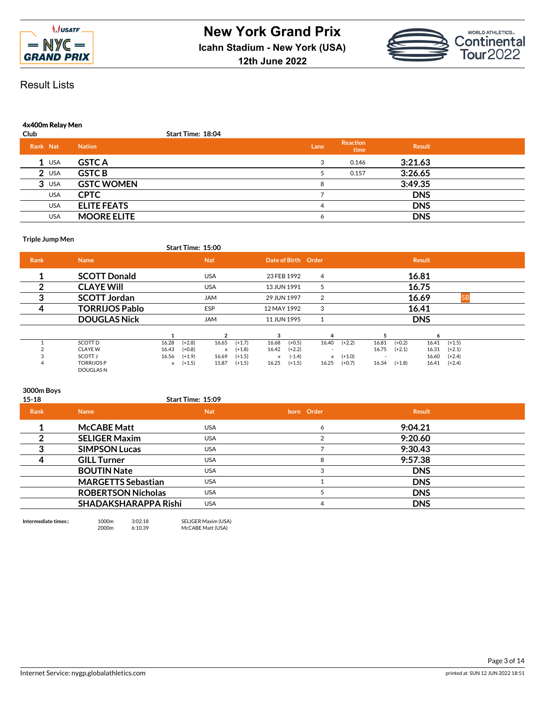

**12th June 2022**



Result Lists

## **4x400m Relay Men**

| Club     |            |                    | <b>Start Time: 18:04</b> |      |                  |               |  |
|----------|------------|--------------------|--------------------------|------|------------------|---------------|--|
| Rank Nat |            | <b>Nation</b>      |                          | Lane | Reaction<br>time | <b>Result</b> |  |
|          | $1$ USA    | <b>GSTC A</b>      |                          | 3    | 0.146            | 3:21.63       |  |
|          | $2$ USA    | <b>GSTC B</b>      |                          |      | 0.157            | 3:26.65       |  |
|          | $3$ USA    | <b>GSTC WOMEN</b>  |                          |      |                  | 3:49.35       |  |
|          | <b>USA</b> | <b>CPTC</b>        |                          |      |                  | <b>DNS</b>    |  |
|          | <b>USA</b> | <b>ELITE FEATS</b> |                          | 4    |                  | <b>DNS</b>    |  |
|          | <b>USA</b> | <b>MOORE ELITE</b> |                          | 6    |                  | <b>DNS</b>    |  |

### **Triple Jump Men**

| Start Time: 15:00 |  |
|-------------------|--|
|                   |  |

| <b>Rank</b> | <b>Name</b>                   |       |          | <b>Nat</b> |          |             | Date of Birth Order |                          |           |                          |          | <b>Result</b> |           |  |
|-------------|-------------------------------|-------|----------|------------|----------|-------------|---------------------|--------------------------|-----------|--------------------------|----------|---------------|-----------|--|
|             | <b>SCOTT Donald</b>           |       |          | <b>USA</b> |          | 23 FEB 1992 |                     | 4                        |           |                          |          | 16.81         |           |  |
|             | <b>CLAYE WIll</b>             |       |          | <b>USA</b> |          | 13 JUN 1991 |                     | 5                        |           |                          |          | 16.75         |           |  |
| 3           | <b>SCOTT Jordan</b>           |       |          | <b>JAM</b> |          | 29 JUN 1997 |                     | 2                        |           |                          |          | 16.69         | <b>SB</b> |  |
| 4           | <b>TORRIJOS Pablo</b>         |       |          | ESP        |          | 12 MAY 1992 |                     | 3                        |           |                          |          | 16.41         |           |  |
|             | <b>DOUGLAS Nick</b>           |       |          | <b>JAM</b> |          | 11 JUN 1995 |                     |                          |           |                          |          | <b>DNS</b>    |           |  |
|             |                               |       |          |            |          | 3           |                     |                          |           |                          |          | Α             |           |  |
|             | SCOTT D                       | 16.28 | $(+2.8)$ | 16.65      | $(+1.7)$ | 16.68       | $(+0.5)$            | 16.40                    | $(+2.2)$  | 16.81                    | $(+0.2)$ | 16.41         | $(+1.5)$  |  |
|             | <b>CLAYE W</b>                | 16.43 | $(+0.8)$ | x          | $(+1.8)$ | 16.42       | $(+2.2)$            | $\overline{\phantom{a}}$ |           | 16.75                    | $(+2.1)$ | 16.31         | $(+2.1)$  |  |
|             | SCOTT J                       | 16.56 | $(+1.9)$ | 16.69      | $(+1.5)$ | $\times$    | $(-1.4)$            |                          | $x + 1.0$ | $\overline{\phantom{a}}$ |          | 16.60         | $(+2.4)$  |  |
|             | <b>TORRIJOSP</b><br>DOUGLAS N | x     | $(+1.5)$ | 15.87      | $(+1.5)$ | 16.25       | $(+1.5)$            | 16.25                    | $(+0.7)$  | 16.34                    | $(+1.8)$ | 16.41         | $(+2.4)$  |  |

## **3000m Boys**

| $15 - 18$ |                           | Start Time: 15:09 |            |            |  |
|-----------|---------------------------|-------------------|------------|------------|--|
| Rank      | <b>Name</b>               | <b>Nat</b>        | born Order | Result     |  |
|           | <b>McCABE Matt</b>        | <b>USA</b>        | 6          | 9:04.21    |  |
|           | <b>SELIGER Maxim</b>      | <b>USA</b>        |            | 9:20.60    |  |
|           | <b>SIMPSON Lucas</b>      | <b>USA</b>        |            | 9:30.43    |  |
|           | <b>GILL Turner</b>        | <b>USA</b>        | 8          | 9:57.38    |  |
|           | <b>BOUTIN Nate</b>        | <b>USA</b>        | 3          | <b>DNS</b> |  |
|           | <b>MARGETTS Sebastian</b> | <b>USA</b>        |            | <b>DNS</b> |  |
|           | <b>ROBERTSON Nicholas</b> | <b>USA</b>        |            | <b>DNS</b> |  |
|           | SHADAKSHARAPPA Rishi      | <b>USA</b>        | 4          | <b>DNS</b> |  |
|           |                           |                   |            |            |  |

**Intermediate times::** 1000m 3:02.18 SELIGER Maxim (USA) 2000m 6:10.39 McCABE Matt (USA)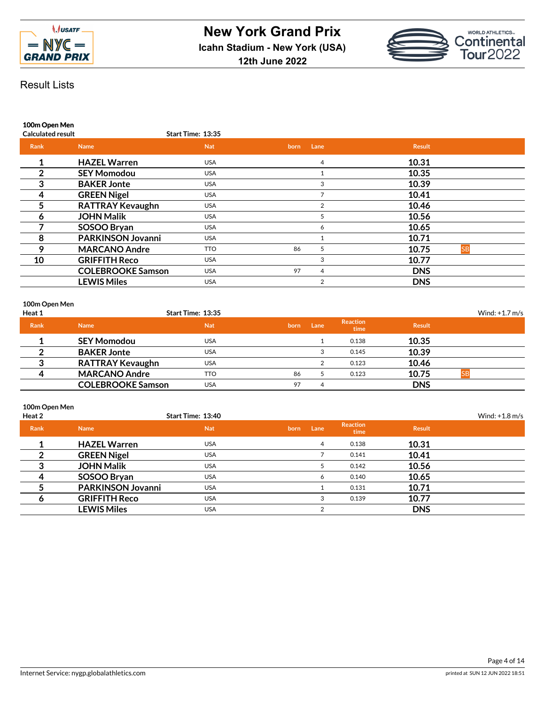



**100m Open Men**

| <b>Calculated result</b> |                          | <b>Start Time: 13:35</b> |      |      |                    |
|--------------------------|--------------------------|--------------------------|------|------|--------------------|
| <b>Rank</b>              | <b>Name</b>              | <b>Nat</b>               | born | Lane | <b>Result</b>      |
| 1                        | <b>HAZEL Warren</b>      | <b>USA</b>               |      | 4    | 10.31              |
| 2                        | <b>SEY Momodou</b>       | <b>USA</b>               |      |      | 10.35              |
| 3                        | <b>BAKER Jonte</b>       | <b>USA</b>               |      | 3    | 10.39              |
| 4                        | <b>GREEN Nigel</b>       | <b>USA</b>               |      |      | 10.41              |
| 5                        | <b>RATTRAY Kevaughn</b>  | <b>USA</b>               |      | 2    | 10.46              |
| 6                        | <b>JOHN Malik</b>        | <b>USA</b>               |      | 5    | 10.56              |
|                          | SOSOO Bryan              | <b>USA</b>               |      | 6    | 10.65              |
| 8                        | <b>PARKINSON Jovanni</b> | <b>USA</b>               |      |      | 10.71              |
| 9                        | <b>MARCANO Andre</b>     | <b>TTO</b>               | 86   | 5.   | 10.75<br><b>SB</b> |
| 10                       | <b>GRIFFITH Reco</b>     | <b>USA</b>               |      | 3    | 10.77              |
|                          | <b>COLEBROOKE Samson</b> | <b>USA</b>               | 97   | 4    | <b>DNS</b>         |
|                          | <b>LEWIS Miles</b>       | <b>USA</b>               |      | 2    | <b>DNS</b>         |

# **100m Open Men**

| Heat 1      |                          | Start Time: 13:35 |      |      |                         |               | Wind: $+1.7$ m/s |
|-------------|--------------------------|-------------------|------|------|-------------------------|---------------|------------------|
| <b>Rank</b> | <b>Name</b>              | <b>Nat</b>        | born | Lane | <b>Reaction</b><br>time | <b>Result</b> |                  |
|             | <b>SEY Momodou</b>       | USA               |      |      | 0.138                   | 10.35         |                  |
|             | <b>BAKER Jonte</b>       | USA               |      |      | 0.145                   | 10.39         |                  |
| っ           | <b>RATTRAY Kevaughn</b>  | USA               |      |      | 0.123                   | 10.46         |                  |
|             | <b>MARCANO Andre</b>     | <b>TTO</b>        | 86   |      | 0.123                   | 10.75         |                  |
|             | <b>COLEBROOKE Samson</b> | USA               | 97   | 4    |                         | <b>DNS</b>    |                  |

# **100m Open Men**

| Heat 2      |                          | Start Time: 13:40 |      |      |                         |               | Wind: $+1.8$ m/s |
|-------------|--------------------------|-------------------|------|------|-------------------------|---------------|------------------|
| <b>Rank</b> | <b>Name</b>              | <b>Nat</b>        | born | Lane | <b>Reaction</b><br>time | <b>Result</b> |                  |
|             | <b>HAZEL Warren</b>      | <b>USA</b>        |      | 4    | 0.138                   | 10.31         |                  |
|             | <b>GREEN Nigel</b>       | <b>USA</b>        |      |      | 0.141                   | 10.41         |                  |
| ◠           | <b>JOHN Malik</b>        | <b>USA</b>        |      |      | 0.142                   | 10.56         |                  |
| 4           | SOSOO Bryan              | <b>USA</b>        |      | 6    | 0.140                   | 10.65         |                  |
|             | <b>PARKINSON Jovanni</b> | <b>USA</b>        |      |      | 0.131                   | 10.71         |                  |
|             | <b>GRIFFITH Reco</b>     | <b>USA</b>        |      | 3    | 0.139                   | 10.77         |                  |
|             | <b>LEWIS Miles</b>       | <b>USA</b>        |      | C    |                         | <b>DNS</b>    |                  |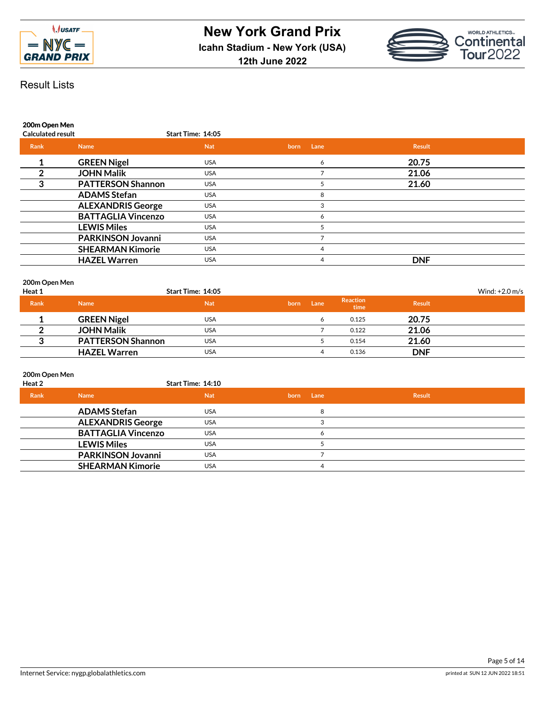



**200m Open Men**

| <b>Calculated result</b> |                           | Start Time: 14:05 |              |               |  |
|--------------------------|---------------------------|-------------------|--------------|---------------|--|
| Rank                     | <b>Name</b>               | <b>Nat</b>        | Lane<br>born | <b>Result</b> |  |
|                          | <b>GREEN Nigel</b>        | <b>USA</b>        | 6            | 20.75         |  |
|                          | <b>JOHN Malik</b>         | <b>USA</b>        |              | 21.06         |  |
| 3                        | <b>PATTERSON Shannon</b>  | <b>USA</b>        |              | 21.60         |  |
|                          | <b>ADAMS Stefan</b>       | <b>USA</b>        |              |               |  |
|                          | <b>ALEXANDRIS George</b>  | <b>USA</b>        |              |               |  |
|                          | <b>BATTAGLIA Vincenzo</b> | <b>USA</b>        | Ô            |               |  |
|                          | <b>LEWIS Miles</b>        | <b>USA</b>        |              |               |  |
|                          | <b>PARKINSON Jovanni</b>  | <b>USA</b>        |              |               |  |
|                          | <b>SHEARMAN Kimorie</b>   | <b>USA</b>        |              |               |  |
|                          | <b>HAZEL Warren</b>       | <b>USA</b>        | 4            | <b>DNF</b>    |  |
|                          |                           |                   |              |               |  |

# **200m Open Men**

| Heat 1      |                          | Start Time: 14:05 |      |      |                         |               | Wind: $+2.0$ m/s |
|-------------|--------------------------|-------------------|------|------|-------------------------|---------------|------------------|
| <b>Rank</b> | <b>Name</b>              | <b>Nat</b>        | born | Lane | <b>Reaction</b><br>time | <b>Result</b> |                  |
|             | <b>GREEN Nigel</b>       | <b>USA</b>        |      |      | 0.125                   | 20.75         |                  |
|             | <b>JOHN Malik</b>        | <b>USA</b>        |      |      | 0.122                   | 21.06         |                  |
|             | <b>PATTERSON Shannon</b> | <b>USA</b>        |      |      | 0.154                   | 21.60         |                  |
|             | <b>HAZEL Warren</b>      | USA               |      |      | 0.136                   | <b>DNF</b>    |                  |

# **200m Open Men**

| Heat 2      |                           | <b>Start Time: 14:10</b> |              |        |  |
|-------------|---------------------------|--------------------------|--------------|--------|--|
| <b>Rank</b> | <b>Name</b>               | <b>Nat</b>               | Lane<br>born | Result |  |
|             | <b>ADAMS Stefan</b>       | USA                      | 8            |        |  |
|             | <b>ALEXANDRIS George</b>  | <b>USA</b>               |              |        |  |
|             | <b>BATTAGLIA Vincenzo</b> | <b>USA</b>               | Ô            |        |  |
|             | <b>LEWIS Miles</b>        | USA                      |              |        |  |
|             | <b>PARKINSON Jovanni</b>  | <b>USA</b>               |              |        |  |
|             | <b>SHEARMAN Kimorie</b>   | <b>USA</b>               | 4            |        |  |
|             |                           |                          |              |        |  |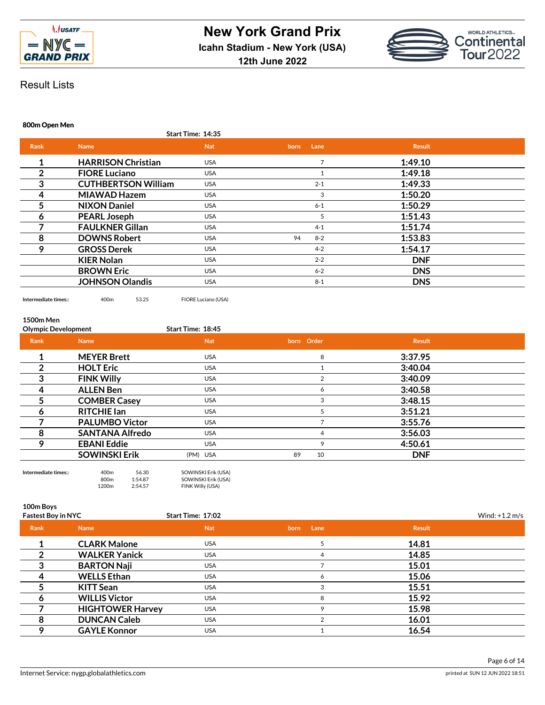



### **800m Open Men**

|                |                            | Start Time: 14:35 |               |               |  |
|----------------|----------------------------|-------------------|---------------|---------------|--|
| <b>Rank</b>    | <b>Name</b>                | <b>Nat</b>        | Lane<br>born  | <b>Result</b> |  |
| 1              | <b>HARRISON Christian</b>  | <b>USA</b>        | 7             | 1:49.10       |  |
| $\overline{2}$ | <b>FIORE Luciano</b>       | <b>USA</b>        |               | 1:49.18       |  |
| 3              | <b>CUTHBERTSON William</b> | <b>USA</b>        | $2 - 1$       | 1:49.33       |  |
| 4              | <b>MIAWAD Hazem</b>        | <b>USA</b>        | 3             | 1:50.20       |  |
| 5              | <b>NIXON Daniel</b>        | <b>USA</b>        | $6 - 1$       | 1:50.29       |  |
| 6              | <b>PEARL Joseph</b>        | <b>USA</b>        | 5             | 1:51.43       |  |
|                | <b>FAULKNER Gillan</b>     | <b>USA</b>        | $4 - 1$       | 1:51.74       |  |
| 8              | <b>DOWNS Robert</b>        | <b>USA</b>        | $8 - 2$<br>94 | 1:53.83       |  |
| 9              | <b>GROSS Derek</b>         | <b>USA</b>        | $4 - 2$       | 1:54.17       |  |
|                | <b>KIER Nolan</b>          | <b>USA</b>        | $2 - 2$       | <b>DNF</b>    |  |
|                | <b>BROWN Eric</b>          | <b>USA</b>        | $6 - 2$       | <b>DNS</b>    |  |
|                | <b>JOHNSON Olandis</b>     | <b>USA</b>        | $8 - 1$       | <b>DNS</b>    |  |
|                |                            |                   |               |               |  |

**Intermediate times::** 400m 53.25 FIORE Luciano (USA)

## **1500m Men**

| <b>Olympic Development</b> |                        | Start Time: 18:45 |            |               |  |
|----------------------------|------------------------|-------------------|------------|---------------|--|
| Rank                       | <b>Name</b>            | <b>Nat</b>        | born Order | <b>Result</b> |  |
|                            | <b>MEYER Brett</b>     | <b>USA</b>        | 8          | 3:37.95       |  |
| 2                          | <b>HOLT Eric</b>       | <b>USA</b>        |            | 3:40.04       |  |
| 3                          | <b>FINK Willy</b>      | <b>USA</b>        |            | 3:40.09       |  |
| 4                          | <b>ALLEN Ben</b>       | <b>USA</b>        | 6          | 3:40.58       |  |
| 5                          | <b>COMBER Casey</b>    | <b>USA</b>        | 3          | 3:48.15       |  |
| 6                          | <b>RITCHIE Ian</b>     | <b>USA</b>        | 5          | 3:51.21       |  |
|                            | <b>PALUMBO Victor</b>  | <b>USA</b>        |            | 3:55.76       |  |
| 8                          | <b>SANTANA Alfredo</b> | <b>USA</b>        | 4          | 3:56.03       |  |
| 9                          | <b>EBANI Eddie</b>     | <b>USA</b>        | 9          | 4:50.61       |  |
|                            | <b>SOWINSKI Erik</b>   | (PM) USA          | 89<br>10   | <b>DNF</b>    |  |
|                            |                        |                   |            |               |  |



**100m Boys**

| <b>Fastest Boy in NYC</b> |                         | Start Time: 17:02 |              | Wind: $+1.2$ m/s |  |
|---------------------------|-------------------------|-------------------|--------------|------------------|--|
| Rank                      | <b>Name</b>             | <b>Nat</b>        | Lane<br>born | <b>Result</b>    |  |
|                           | <b>CLARK Malone</b>     | <b>USA</b>        |              | 14.81            |  |
|                           | <b>WALKER Yanick</b>    | <b>USA</b>        | 4            | 14.85            |  |
|                           | <b>BARTON Naji</b>      | <b>USA</b>        |              | 15.01            |  |
|                           | <b>WELLS Ethan</b>      | <b>USA</b>        |              | 15.06            |  |
|                           | <b>KITT Sean</b>        | <b>USA</b>        |              | 15.51            |  |
| n                         | <b>WILLIS Victor</b>    | <b>USA</b>        | 8            | 15.92            |  |
|                           | <b>HIGHTOWER Harvey</b> | <b>USA</b>        | o            | 15.98            |  |
| 8                         | <b>DUNCAN Caleb</b>     | <b>USA</b>        |              | 16.01            |  |
|                           | <b>GAYLE Konnor</b>     | <b>USA</b>        |              | 16.54            |  |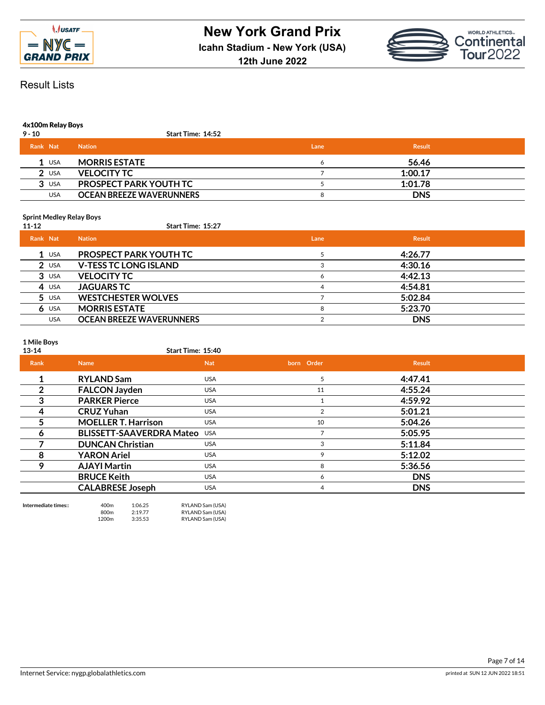



## **4x100m Relay Boys**

| $9 - 10$   | <b>Start Time: 14:52</b>        |      |               |  |
|------------|---------------------------------|------|---------------|--|
| Rank Nat   | <b>Nation</b>                   | Lane | <b>Result</b> |  |
| $1$ USA    | <b>MORRIS ESTATE</b>            |      | 56.46         |  |
| $2$ USA    | <b>VELOCITY TC</b>              |      | 1:00.17       |  |
| $3$ USA    | <b>PROSPECT PARK YOUTH TC</b>   |      | 1:01.78       |  |
| <b>USA</b> | <b>OCEAN BREEZE WAVERUNNERS</b> |      | <b>DNS</b>    |  |

### **Sprint Medley Relay Boys**

## **11-12 Start Time: 15:27**

| Rank Nat |            | <b>Nation</b>                   | Lane | <b>Result</b> |  |
|----------|------------|---------------------------------|------|---------------|--|
|          | $1$ USA    | <b>PROSPECT PARK YOUTH TC</b>   |      | 4:26.77       |  |
|          | $2$ USA    | <b>V-TESS TC LONG ISLAND</b>    |      | 4:30.16       |  |
|          | $3$ USA    | <b>VELOCITY TC</b>              | 6    | 4:42.13       |  |
|          | 4 USA      | <b>JAGUARS TC</b>               | 4    | 4:54.81       |  |
|          | $5$ USA    | <b>WESTCHESTER WOLVES</b>       |      | 5:02.84       |  |
|          | $6$ USA    | <b>MORRIS ESTATE</b>            |      | 5:23.70       |  |
|          | <b>USA</b> | <b>OCEAN BREEZE WAVERUNNERS</b> |      | <b>DNS</b>    |  |

**1 Mile Boys**

# **13-14 Start Time: 15:40 Rank Name Nat born Order Result 1 RYLAND Sam** USA **13.47.41 2 FALCON Jayden** USA <sup>11</sup> **4:55.24 3 PARKER Pierce** USA <sup>1</sup> **4:59.92 4 CRUZ Yuhan** USA <sup>2</sup> **5:01.21 5 MOELLER T. Harrison** USA <sup>10</sup> **5:04.26 6 BLISSETT-SAAVERDRA Mateo** USA <sup>7</sup> **5:05.95 7 DUNCAN Christian** USA <sup>3</sup> **5:11.84 8 YARON Ariel** USA **9 5:12.02 9 AJAYI Martin** USA <sup>8</sup> **5:36.56 BRUCE Keith** USA USA 6 **DNS CALABRESE Joseph** USA 4 **DNS**

**Intermediate times::** 400m 1:06.25 RYLAND Sam (USA)<br>800m 2:19.77 RYLAND Sam (USA) 800m 2:19.77 RYLAND Sam (USA)<br>1200m 3:35.53 RYLAND Sam (USA) RYLAND Sam (USA)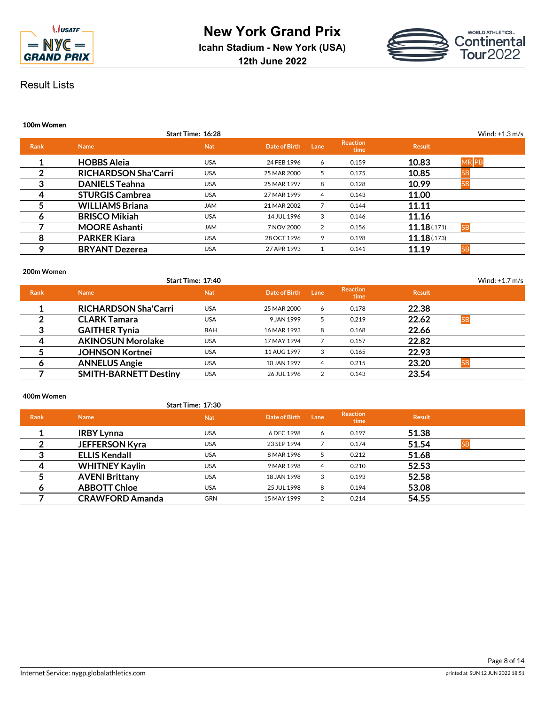



### **100m Women**

|             |                             | Start Time: 16:28 |               |      |                         |               | Wind: $+1.3$ m/s |
|-------------|-----------------------------|-------------------|---------------|------|-------------------------|---------------|------------------|
| <b>Rank</b> | <b>Name</b>                 | <b>Nat</b>        | Date of Birth | Lane | <b>Reaction</b><br>time | <b>Result</b> |                  |
|             | <b>HOBBS Aleja</b>          | <b>USA</b>        | 24 FEB 1996   | 6    | 0.159                   | 10.83         | <b>MRPB</b>      |
| 2           | <b>RICHARDSON Sha'Carri</b> | <b>USA</b>        | 25 MAR 2000   | 5    | 0.175                   | 10.85         | SE               |
| 3           | <b>DANIELS Teahna</b>       | <b>USA</b>        | 25 MAR 1997   | 8    | 0.128                   | 10.99         | <b>SB</b>        |
| 4           | <b>STURGIS Cambrea</b>      | <b>USA</b>        | 27 MAR 1999   | 4    | 0.143                   | 11.00         |                  |
| 5           | <b>WILLIAMS Briana</b>      | <b>JAM</b>        | 21 MAR 2002   |      | 0.144                   | 11.11         |                  |
| Ô           | <b>BRISCO Mikiah</b>        | <b>USA</b>        | 14 JUL 1996   | 3    | 0.146                   | 11.16         |                  |
|             | <b>MOORE Ashanti</b>        | <b>JAM</b>        | 7 NOV 2000    | 2    | 0.156                   | 11.18(171)    | <b>SB</b>        |
| 8           | <b>PARKER Kiara</b>         | <b>USA</b>        | 28 OCT 1996   | 9    | 0.198                   | 11.18(173)    |                  |
| ۰           | <b>BRYANT Dezerea</b>       | <b>USA</b>        | 27 APR 1993   |      | 0.141                   | 11.19         | <b>SB</b>        |

# **200m Women**

|             |                              | Start Time: 17:40 |               |      |                         |               | Wind: $+1.7$ m/s |
|-------------|------------------------------|-------------------|---------------|------|-------------------------|---------------|------------------|
| <b>Rank</b> | <b>Name</b>                  | <b>Nat</b>        | Date of Birth | Lane | <b>Reaction</b><br>time | <b>Result</b> |                  |
|             | <b>RICHARDSON Sha'Carri</b>  | <b>USA</b>        | 25 MAR 2000   | 6    | 0.178                   | 22.38         |                  |
|             | <b>CLARK Tamara</b>          | <b>USA</b>        | 9 JAN 1999    | 5    | 0.219                   | 22.62         | <b>SB</b>        |
| 3           | <b>GAITHER Tynia</b>         | <b>BAH</b>        | 16 MAR 1993   | 8    | 0.168                   | 22.66         |                  |
| Δ           | <b>AKINOSUN Morolake</b>     | <b>USA</b>        | 17 MAY 1994   |      | 0.157                   | 22.82         |                  |
|             | <b>JOHNSON Kortnei</b>       | <b>USA</b>        | 11 AUG 1997   | 3    | 0.165                   | 22.93         |                  |
|             | <b>ANNELUS Angie</b>         | <b>USA</b>        | 10 JAN 1997   | 4    | 0.215                   | 23.20         | <b>ISB</b>       |
|             | <b>SMITH-BARNETT Destiny</b> | <b>USA</b>        | 26 JUL 1996   | 2    | 0.143                   | 23.54         |                  |

# **400m Women**

|      |                        | <b>Start Time: 17:30</b> |               |      |                         |               |  |
|------|------------------------|--------------------------|---------------|------|-------------------------|---------------|--|
| Rank | <b>Name</b>            | <b>Nat</b>               | Date of Birth | Lane | <b>Reaction</b><br>time | <b>Result</b> |  |
|      | <b>IRBY Lynna</b>      | <b>USA</b>               | 6 DEC 1998    | 6    | 0.197                   | 51.38         |  |
| 2    | <b>JEFFERSON Kyra</b>  | <b>USA</b>               | 23 SEP 1994   |      | 0.174                   | 51.54         |  |
| 3    | <b>ELLIS Kendall</b>   | <b>USA</b>               | 8 MAR 1996    | 5.   | 0.212                   | 51.68         |  |
| 4    | <b>WHITNEY Kaylin</b>  | <b>USA</b>               | 9 MAR 1998    | 4    | 0.210                   | 52.53         |  |
| 5    | <b>AVENI Brittany</b>  | <b>USA</b>               | 18 JAN 1998   | 3    | 0.193                   | 52.58         |  |
| 6    | <b>ABBOTT Chloe</b>    | <b>USA</b>               | 25 JUL 1998   | 8    | 0.194                   | 53.08         |  |
|      | <b>CRAWFORD Amanda</b> | <b>GRN</b>               | 15 MAY 1999   |      | 0.214                   | 54.55         |  |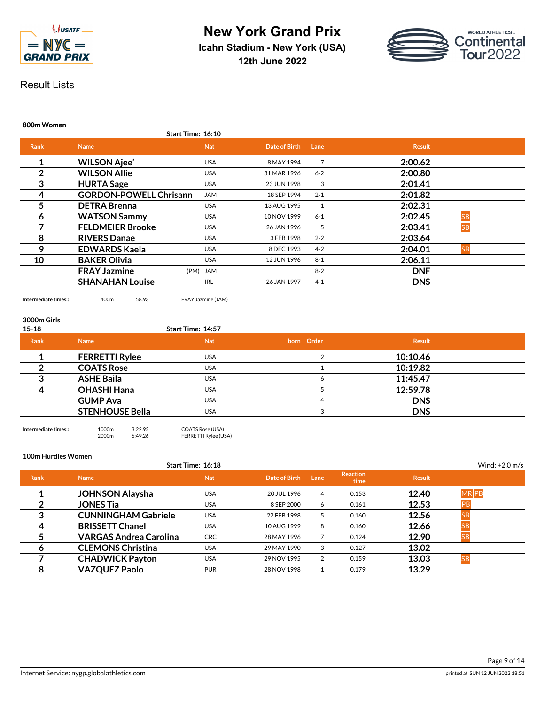



**800m Women**

|             |                               | Start Time: 16:10 |               |         |                      |  |
|-------------|-------------------------------|-------------------|---------------|---------|----------------------|--|
| <b>Rank</b> | <b>Name</b>                   | <b>Nat</b>        | Date of Birth | Lane    | <b>Result</b>        |  |
| 1           | <b>WILSON Ajee'</b>           | <b>USA</b>        | 8 MAY 1994    | 7       | 2:00.62              |  |
| 2           | <b>WILSON Allie</b>           | <b>USA</b>        | 31 MAR 1996   | $6 - 2$ | 2:00.80              |  |
| 3           | <b>HURTA Sage</b>             | <b>USA</b>        | 23 JUN 1998   | 3       | 2:01.41              |  |
| 4           | <b>GORDON-POWELL Chrisann</b> | <b>JAM</b>        | 18 SEP 1994   | $2 - 1$ | 2:01.82              |  |
| 5           | <b>DETRA Brenna</b>           | <b>USA</b>        | 13 AUG 1995   |         | 2:02.31              |  |
| 6           | <b>WATSON Sammy</b>           | <b>USA</b>        | 10 NOV 1999   | $6 - 1$ | 2:02.45<br><b>SB</b> |  |
|             | <b>FELDMEIER Brooke</b>       | <b>USA</b>        | 26 JAN 1996   | 5       | 2:03.41<br><b>SB</b> |  |
| 8           | <b>RIVERS Danae</b>           | <b>USA</b>        | 3 FEB 1998    | $2 - 2$ | 2:03.64              |  |
| 9           | <b>EDWARDS Kaela</b>          | <b>USA</b>        | 8 DEC 1993    | $4 - 2$ | 2:04.01<br><b>SB</b> |  |
| 10          | <b>BAKER Olivia</b>           | <b>USA</b>        | 12 JUN 1996   | $8 - 1$ | 2:06.11              |  |
|             | <b>FRAY Jazmine</b>           | (PM) JAM          |               | $8 - 2$ | <b>DNF</b>           |  |
|             | <b>SHANAHAN Louise</b>        | <b>IRL</b>        | 26 JAN 1997   | $4 - 1$ | <b>DNS</b>           |  |
|             |                               |                   |               |         |                      |  |

**Intermediate times::** 400m 58.93 FRAY Jazmine (JAM)

## **3000m Girls**

| $15 - 18$   |                        | Start Time: 14:57 |            |               |  |
|-------------|------------------------|-------------------|------------|---------------|--|
| <b>Rank</b> | <b>Name</b>            | <b>Nat</b>        | born Order | <b>Result</b> |  |
|             | <b>FERRETTI Rylee</b>  | <b>USA</b>        |            | 10:10.46      |  |
|             | <b>COATS Rose</b>      | <b>USA</b>        |            | 10:19.82      |  |
|             | <b>ASHE Baila</b>      | <b>USA</b>        | h          | 11:45.47      |  |
|             | <b>OHASHI Hana</b>     | <b>USA</b>        |            | 12:59.78      |  |
|             | <b>GUMP Ava</b>        | <b>USA</b>        | 4          | <b>DNS</b>    |  |
|             | <b>STENHOUSE Bella</b> | <b>USA</b>        | З          | <b>DNS</b>    |  |
|             |                        |                   |            |               |  |

**Intermediate times::** 1000m 3:22.92<br>2000m 6:49.26 COATS Rose (USA)<br>FERRETTI Rylee (USA)

**100m Hurdles Women**

|      |                               | Start Time: 16:18 |               |      |                         |               | Wind: $+2.0$ m/s |  |
|------|-------------------------------|-------------------|---------------|------|-------------------------|---------------|------------------|--|
| Rank | <b>Name</b>                   | <b>Nat</b>        | Date of Birth | Lane | <b>Reaction</b><br>time | <b>Result</b> |                  |  |
|      | <b>JOHNSON Alaysha</b>        | USA               | 20 JUL 1996   | 4    | 0.153                   | 12.40         | <b>MRPB</b>      |  |
|      | <b>JONES Tia</b>              | USA               | 8 SEP 2000    | 6    | 0.161                   | 12.53         |                  |  |
| 3    | <b>CUNNINGHAM Gabriele</b>    | <b>USA</b>        | 22 FEB 1998   | 5    | 0.160                   | 12.56         |                  |  |
| 4    | <b>BRISSETT Chanel</b>        | USA               | 10 AUG 1999   | 8    | 0.160                   | 12.66         |                  |  |
|      | <b>VARGAS Andrea Carolina</b> | <b>CRC</b>        | 28 MAY 1996   |      | 0.124                   | 12.90         | ΙSΕ              |  |
| Ô    | <b>CLEMONS Christina</b>      | <b>USA</b>        | 29 MAY 1990   | 3    | 0.127                   | 13.02         |                  |  |
|      | <b>CHADWICK Payton</b>        | <b>USA</b>        | 29 NOV 1995   | 2    | 0.159                   | 13.03         | SF               |  |
| 8    | <b>VAZQUEZ Paolo</b>          | <b>PUR</b>        | 28 NOV 1998   |      | 0.179                   | 13.29         |                  |  |

 $\frac{1}{1}$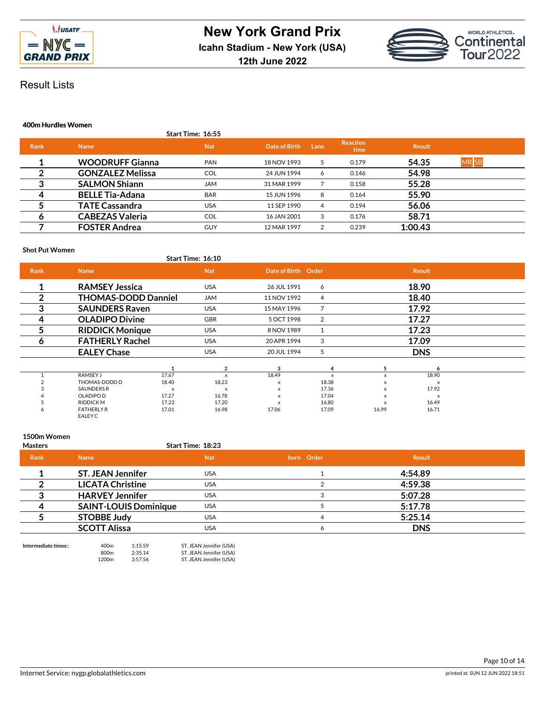

**12th June 2022**



# Result Lists

## **400m Hurdles Women**

|             |                         | <b>Start Time: 16:55</b> |               |      |                         |               |                  |  |
|-------------|-------------------------|--------------------------|---------------|------|-------------------------|---------------|------------------|--|
| <b>Rank</b> | <b>Name</b>             | <b>Nat</b>               | Date of Birth | Lane | <b>Reaction</b><br>time | <b>Result</b> |                  |  |
|             | <b>WOODRUFF Gianna</b>  | <b>PAN</b>               | 18 NOV 1993   | 5    | 0.179                   | 54.35         | MR <sub>SB</sub> |  |
| 2           | <b>GONZALEZ Melissa</b> | <b>COL</b>               | 24 JUN 1994   | 6    | 0.146                   | 54.98         |                  |  |
| 3           | <b>SALMON Shiann</b>    | <b>JAM</b>               | 31 MAR 1999   |      | 0.158                   | 55.28         |                  |  |
| 4           | <b>BELLE Tia-Adana</b>  | <b>BAR</b>               | 15 JUN 1996   | 8    | 0.164                   | 55.90         |                  |  |
| 5           | <b>TATE Cassandra</b>   | <b>USA</b>               | 11 SEP 1990   | 4    | 0.194                   | 56.06         |                  |  |
| 6           | <b>CABEZAS Valeria</b>  | <b>COL</b>               | 16 JAN 2001   | 3    | 0.176                   | 58.71         |                  |  |
|             | <b>FOSTER Andrea</b>    | <b>GUY</b>               | 12 MAR 1997   |      | 0.239                   | 1:00.43       |                  |  |

## **Shot Put Women**

| .              |                            |       | Start Time: 16:10 |                           |                |          |                           |  |
|----------------|----------------------------|-------|-------------------|---------------------------|----------------|----------|---------------------------|--|
| <b>Rank</b>    | <b>Name</b>                |       | <b>Nat</b>        | Date of Birth Order       |                |          | <b>Result</b>             |  |
| 1              | <b>RAMSEY Jessica</b>      |       | <b>USA</b>        | 26 JUL 1991               | 6              |          | 18.90                     |  |
| $\overline{2}$ | <b>THOMAS-DODD Danniel</b> |       | <b>JAM</b>        | 11 NOV 1992               | 4              |          | 18.40                     |  |
| 3              | <b>SAUNDERS Raven</b>      |       | <b>USA</b>        | 15 MAY 1996               |                |          | 17.92                     |  |
| -4             | <b>OLADIPO Divine</b>      |       | <b>GBR</b>        | 5 OCT 1998                | $\overline{2}$ |          | 17.27                     |  |
| 5              | <b>RIDDICK Monique</b>     |       | <b>USA</b>        | 8 NOV 1989                | 1              |          | 17.23                     |  |
| Ô              | <b>FATHERLY Rachel</b>     |       | <b>USA</b>        | 20 APR 1994               | 3              |          | 17.09                     |  |
|                | <b>EALEY Chase</b>         |       | <b>USA</b>        | 20 JUL 1994               | 5              |          | <b>DNS</b>                |  |
|                |                            | 1     | $\overline{2}$    | 3                         | 4              | 5        | 6                         |  |
|                | RAMSEY J                   | 17.67 | X                 | 18.49                     | X              | $\times$ | 18.90                     |  |
|                | THOMAS-DODD D              | 18.40 | 18.23             | x                         | 18.38          | x        | x                         |  |
|                | <b>SAUNDERS R</b>          | X     | X                 | $\boldsymbol{\mathsf{x}}$ | 17.36          | $\times$ | 17.92                     |  |
|                | OLADIPO D                  | 17.27 | 16.78             | X                         | 17.04          | x        | $\boldsymbol{\mathsf{x}}$ |  |
|                | <b>RIDDICKM</b>            | 17.23 | 17.20             | x                         | 16.80          | x        | 16.49                     |  |
| o              | <b>FATHERLY R</b>          | 17.01 | 16.98             | 17.06                     | 17.09          | 16.99    | 16.71                     |  |
|                | EALEY C                    |       |                   |                           |                |          |                           |  |

## **1500m Women**

| <b>Masters</b> |                              | <b>Start Time: 18:23</b> |              |               |  |
|----------------|------------------------------|--------------------------|--------------|---------------|--|
| <b>Rank</b>    | <b>Name</b>                  | <b>Nat</b>               | born Order   | <b>Result</b> |  |
|                | <b>ST. JEAN Jennifer</b>     | <b>USA</b>               |              | 4:54.89       |  |
|                | <b>LICATA Christine</b>      | <b>USA</b>               |              | 4:59.38       |  |
|                | <b>HARVEY Jennifer</b>       | <b>USA</b>               |              | 5:07.28       |  |
|                | <b>SAINT-LOUIS Dominique</b> | <b>USA</b>               |              | 5:17.78       |  |
|                | <b>STOBBE Judy</b>           | <b>USA</b>               |              | 5:25.14       |  |
|                | <b>SCOTT Alissa</b>          | USA                      | <sub>6</sub> | <b>DNS</b>    |  |
|                |                              |                          |              |               |  |

**Intermediate times::** 400m 1:15.59 ST. JEAN Jennifer (USA) 800m 2:35.14 ST. JEAN Jennifer (USA) 1200m 3:57.56 ST. JEAN Jennifer (USA)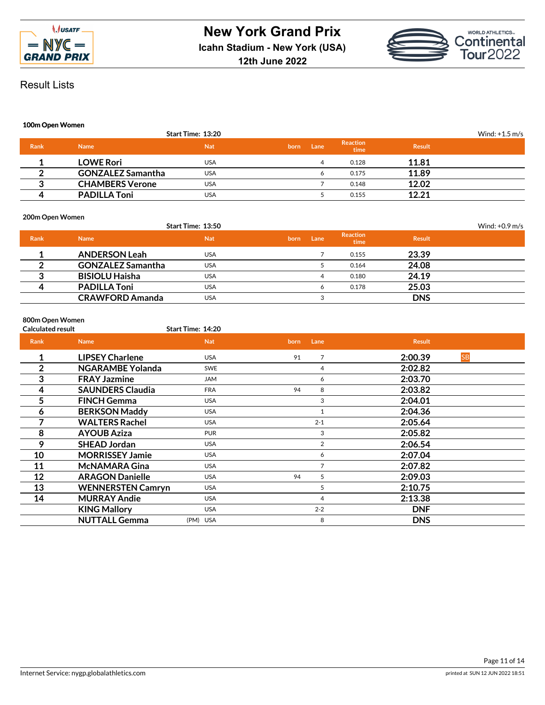



## **100m Open Women**

|             |                          | <b>Start Time: 13:20</b> |      |      |                         |               | Wind: $+1.5$ m/s |
|-------------|--------------------------|--------------------------|------|------|-------------------------|---------------|------------------|
| <b>Rank</b> | <b>Name</b>              | <b>Nat</b>               | born | Lane | <b>Reaction</b><br>time | <b>Result</b> |                  |
|             | <b>LOWE Rori</b>         | USA                      |      | 4    | 0.128                   | 11.81         |                  |
|             | <b>GONZALEZ Samantha</b> | <b>USA</b>               |      | o    | 0.175                   | 11.89         |                  |
|             | <b>CHAMBERS Verone</b>   | <b>USA</b>               |      |      | 0.148                   | 12.02         |                  |
|             | <b>PADILLA Toni</b>      | <b>USA</b>               |      |      | 0.155                   | 12.21         |                  |

## **200m Open Women**

|      |                          | Start Time: 13:50 |      |      |                         |               | Wind: $+0.9$ m/s |
|------|--------------------------|-------------------|------|------|-------------------------|---------------|------------------|
| Rank | <b>Name</b>              | <b>Nat</b>        | born | Lane | <b>Reaction</b><br>time | <b>Result</b> |                  |
|      | <b>ANDERSON Leah</b>     | <b>USA</b>        |      |      | 0.155                   | 23.39         |                  |
|      | <b>GONZALEZ Samantha</b> | <b>USA</b>        |      |      | 0.164                   | 24.08         |                  |
| ≏    | <b>BISIOLU Haisha</b>    | <b>USA</b>        |      | 4    | 0.180                   | 24.19         |                  |
| Δ    | <b>PADILLA Toni</b>      | <b>USA</b>        |      | 6    | 0.178                   | 25.03         |                  |
|      | <b>CRAWFORD Amanda</b>   | <b>USA</b>        |      |      |                         | <b>DNS</b>    |                  |

# **800m Open Women**

| <b>Calculated result</b> |                          | Start Time: 14:20 |      |                |               |           |  |
|--------------------------|--------------------------|-------------------|------|----------------|---------------|-----------|--|
| Rank                     | <b>Name</b>              | <b>Nat</b>        | born | Lane           | <b>Result</b> |           |  |
| 1                        | <b>LIPSEY Charlene</b>   | <b>USA</b>        | 91   | 7              | 2:00.39       | <b>SB</b> |  |
| $\overline{2}$           | NGARAMBE Yolanda         | <b>SWE</b>        |      | 4              | 2:02.82       |           |  |
| 3                        | <b>FRAY Jazmine</b>      | <b>JAM</b>        |      | 6              | 2:03.70       |           |  |
| 4                        | <b>SAUNDERS Claudia</b>  | <b>FRA</b>        | 94   | 8              | 2:03.82       |           |  |
| 5                        | <b>FINCH Gemma</b>       | <b>USA</b>        |      | 3              | 2:04.01       |           |  |
| 6                        | <b>BERKSON Maddy</b>     | <b>USA</b>        |      |                | 2:04.36       |           |  |
|                          | <b>WALTERS Rachel</b>    | <b>USA</b>        |      | $2 - 1$        | 2:05.64       |           |  |
| 8                        | <b>AYOUB Aziza</b>       | <b>PUR</b>        |      | 3              | 2:05.82       |           |  |
| 9                        | <b>SHEAD Jordan</b>      | <b>USA</b>        |      | $\overline{2}$ | 2:06.54       |           |  |
| 10                       | <b>MORRISSEY Jamie</b>   | <b>USA</b>        |      | 6              | 2:07.04       |           |  |
| 11                       | <b>McNAMARA Gina</b>     | <b>USA</b>        |      | $\overline{7}$ | 2:07.82       |           |  |
| 12                       | <b>ARAGON Danielle</b>   | <b>USA</b>        | 94   | 5              | 2:09.03       |           |  |
| 13                       | <b>WENNERSTEN Camryn</b> | <b>USA</b>        |      | 5              | 2:10.75       |           |  |
| 14                       | <b>MURRAY Andie</b>      | <b>USA</b>        |      | 4              | 2:13.38       |           |  |
|                          | <b>KING Mallory</b>      | <b>USA</b>        |      | $2 - 2$        | <b>DNF</b>    |           |  |
|                          | <b>NUTTALL Gemma</b>     | (PM) USA          |      | 8              | <b>DNS</b>    |           |  |
|                          |                          |                   |      |                |               |           |  |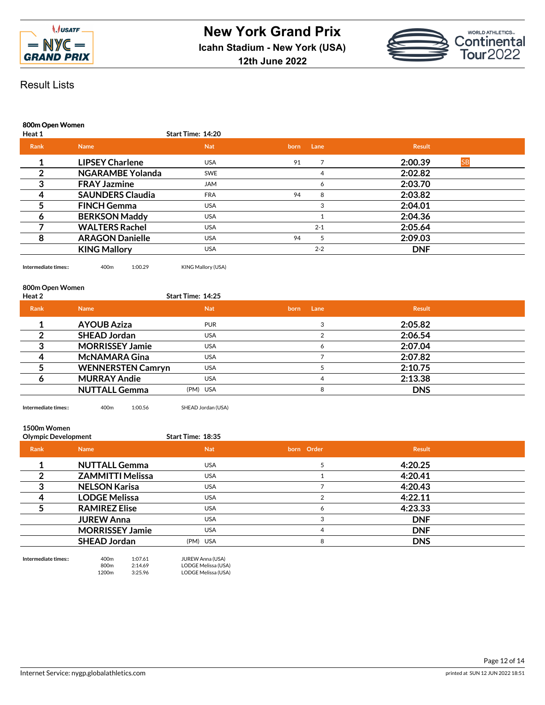



**800m Open Women**

| Heat 1 |                         | <b>Start Time: 14:20</b> |      |         |                      |  |
|--------|-------------------------|--------------------------|------|---------|----------------------|--|
| Rank   | <b>Name</b>             | <b>Nat</b>               | born | Lane    | <b>Result</b>        |  |
|        | <b>LIPSEY Charlene</b>  | <b>USA</b>               | 91   |         | 2:00.39<br><b>SB</b> |  |
|        | <b>NGARAMBE Yolanda</b> | <b>SWE</b>               |      | 4       | 2:02.82              |  |
|        | <b>FRAY Jazmine</b>     | JAM                      |      | 6       | 2:03.70              |  |
| 4      | <b>SAUNDERS Claudia</b> | <b>FRA</b>               | 94   | 8       | 2:03.82              |  |
|        | <b>FINCH Gemma</b>      | <b>USA</b>               |      | 3       | 2:04.01              |  |
| Ô      | <b>BERKSON Maddy</b>    | <b>USA</b>               |      |         | 2:04.36              |  |
|        | <b>WALTERS Rachel</b>   | <b>USA</b>               |      | $2 - 1$ | 2:05.64              |  |
| 8      | <b>ARAGON Danielle</b>  | <b>USA</b>               | 94   | 5       | 2:09.03              |  |
|        | <b>KING Mallory</b>     | <b>USA</b>               |      | $2 - 2$ | <b>DNF</b>           |  |

**Intermediate times::** 400m 1:00.29 KING Mallory (USA)

# **800m Open Women**

| Heat 2      |                          | <b>Start Time: 14:25</b> |              |               |  |
|-------------|--------------------------|--------------------------|--------------|---------------|--|
| <b>Rank</b> | <b>Name</b>              | <b>Nat</b>               | Lane<br>born | <b>Result</b> |  |
|             | <b>AYOUB Aziza</b>       | <b>PUR</b>               |              | 2:05.82       |  |
|             | <b>SHEAD Jordan</b>      | <b>USA</b>               |              | 2:06.54       |  |
|             | <b>MORRISSEY Jamie</b>   | <b>USA</b>               | r            | 2:07.04       |  |
|             | <b>McNAMARA Gina</b>     | <b>USA</b>               |              | 2:07.82       |  |
|             | <b>WENNERSTEN Camryn</b> | <b>USA</b>               |              | 2:10.75       |  |
|             | <b>MURRAY Andie</b>      | <b>USA</b>               | 4            | 2:13.38       |  |
|             | <b>NUTTALL Gemma</b>     | (PM) USA                 | 8            | <b>DNS</b>    |  |
|             |                          |                          |              |               |  |

**Intermediate times::** 400m 1:00.56 SHEAD Jordan (USA)

## **1500m Women**

| <b>Olympic Development</b> |                         | Start Time: 18:35 |            |               |  |
|----------------------------|-------------------------|-------------------|------------|---------------|--|
| Rank                       | <b>Name</b>             | <b>Nat</b>        | born Order | <b>Result</b> |  |
|                            | <b>NUTTALL Gemma</b>    | USA.              |            | 4:20.25       |  |
|                            | <b>ZAMMITTI Melissa</b> | <b>USA</b>        |            | 4:20.41       |  |
|                            | <b>NELSON Karisa</b>    | <b>USA</b>        |            | 4:20.43       |  |
|                            | <b>LODGE Melissa</b>    | <b>USA</b>        |            | 4:22.11       |  |
|                            | <b>RAMIREZ Elise</b>    | <b>USA</b>        | 6          | 4:23.33       |  |
|                            | <b>JUREW Anna</b>       | <b>USA</b>        |            | <b>DNF</b>    |  |
|                            | <b>MORRISSEY Jamie</b>  | <b>USA</b>        | 4          | <b>DNF</b>    |  |
|                            | <b>SHEAD Jordan</b>     | (PM) USA          | 8          | <b>DNS</b>    |  |

**Intermediate times::** 400m 1:07.61 JUREW Anna (USA)

800m 2:14.69 LODGE Melissa (USA)<br>1200m 3:25.96 LODGE Melissa (USA) 1200m 3:25.96 LODGE Melissa (USA)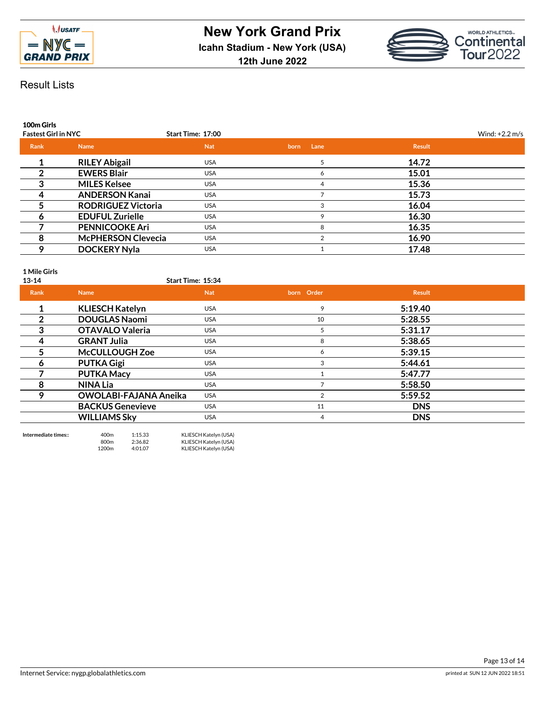



**100m Girls**

| <b>Fastest Girl in NYC</b> |                           | Start Time: 17:00 |              |               | Wind: $+2.2$ m/s |
|----------------------------|---------------------------|-------------------|--------------|---------------|------------------|
| Rank                       | <b>Name</b>               | <b>Nat</b>        | Lane<br>born | <b>Result</b> |                  |
|                            | <b>RILEY Abigail</b>      | <b>USA</b>        |              | 14.72         |                  |
|                            | <b>EWERS Blair</b>        | <b>USA</b>        | 6            | 15.01         |                  |
| 3                          | <b>MILES Kelsee</b>       | <b>USA</b>        | 4            | 15.36         |                  |
|                            | <b>ANDERSON Kanai</b>     | <b>USA</b>        |              | 15.73         |                  |
|                            | <b>RODRIGUEZ Victoria</b> | <b>USA</b>        | 3            | 16.04         |                  |
| 6                          | <b>EDUFUL Zurielle</b>    | <b>USA</b>        | $\mathbf Q$  | 16.30         |                  |
|                            | <b>PENNICOOKE Ari</b>     | <b>USA</b>        | 8            | 16.35         |                  |
| 8                          | <b>McPHERSON Clevecia</b> | <b>USA</b>        | 2            | 16.90         |                  |
| 9                          | <b>DOCKERY Nyla</b>       | <b>USA</b>        |              | 17.48         |                  |
|                            |                           |                   |              |               |                  |

**1 Mile Girls**

| $13 - 14$   |                              | Start Time: 15:34 |                |               |  |
|-------------|------------------------------|-------------------|----------------|---------------|--|
| <b>Rank</b> | <b>Name</b>                  | <b>Nat</b>        | born Order     | <b>Result</b> |  |
| 4           | <b>KLIESCH Katelyn</b>       | <b>USA</b>        | 9              | 5:19.40       |  |
| 2           | <b>DOUGLAS Naomi</b>         | <b>USA</b>        | 10             | 5:28.55       |  |
| 3           | <b>OTAVALO Valeria</b>       | <b>USA</b>        | 5              | 5:31.17       |  |
| 4           | <b>GRANT Julia</b>           | <b>USA</b>        | 8              | 5:38.65       |  |
| 5           | <b>McCULLOUGH Zoe</b>        | <b>USA</b>        | 6              | 5:39.15       |  |
| 6           | <b>PUTKA Gigi</b>            | <b>USA</b>        | 3              | 5:44.61       |  |
|             | <b>PUTKA Macy</b>            | <b>USA</b>        |                | 5:47.77       |  |
| 8           | <b>NINA Lia</b>              | <b>USA</b>        |                | 5:58.50       |  |
| 9           | <b>OWOLABI-FAJANA Aneika</b> | <b>USA</b>        | $\overline{2}$ | 5:59.52       |  |
|             | <b>BACKUS Genevieve</b>      | <b>USA</b>        | 11             | <b>DNS</b>    |  |
|             | <b>WILLIAMS Sky</b>          | <b>USA</b>        | 4              | <b>DNS</b>    |  |
|             |                              |                   |                |               |  |

| Intermediate times:: | 400 <sub>m</sub>  | 1:15.33 | KLIESCH Katelyn (USA) |
|----------------------|-------------------|---------|-----------------------|
|                      | 800 <sub>m</sub>  | 2:36.82 | KLIESCH Katelyn (USA) |
|                      | 1200 <sub>m</sub> | 4:01.07 | KLIESCH Katelyn (USA) |